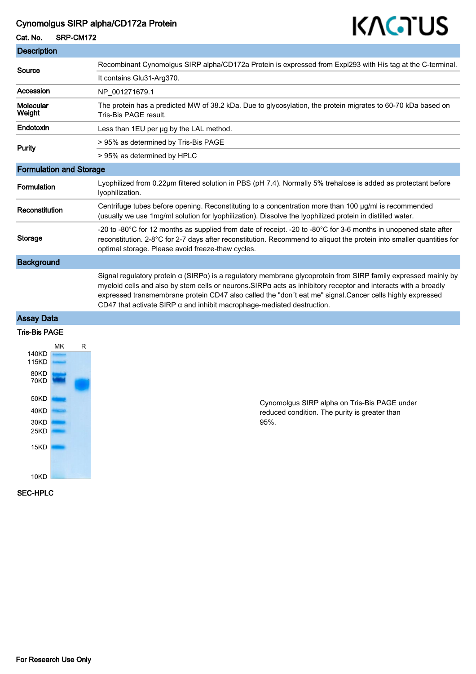## Cynomolgus SIRP alpha/CD172a Protein

#### Cat. No. SRP-CM172

# KAGTUS

| <b>Description</b>             |                                                                                                                                                                                                                                                                                                                                                                                                                                |
|--------------------------------|--------------------------------------------------------------------------------------------------------------------------------------------------------------------------------------------------------------------------------------------------------------------------------------------------------------------------------------------------------------------------------------------------------------------------------|
| Source                         | Recombinant Cynomolgus SIRP alpha/CD172a Protein is expressed from Expi293 with His tag at the C-terminal.                                                                                                                                                                                                                                                                                                                     |
|                                | It contains Glu31-Arg370.                                                                                                                                                                                                                                                                                                                                                                                                      |
| Accession                      | NP_001271679.1                                                                                                                                                                                                                                                                                                                                                                                                                 |
| Molecular<br>Weight            | The protein has a predicted MW of 38.2 kDa. Due to glycosylation, the protein migrates to 60-70 kDa based on<br>Tris-Bis PAGE result.                                                                                                                                                                                                                                                                                          |
| Endotoxin                      | Less than 1EU per ug by the LAL method.                                                                                                                                                                                                                                                                                                                                                                                        |
| <b>Purity</b>                  | > 95% as determined by Tris-Bis PAGE                                                                                                                                                                                                                                                                                                                                                                                           |
|                                | > 95% as determined by HPLC                                                                                                                                                                                                                                                                                                                                                                                                    |
| <b>Formulation and Storage</b> |                                                                                                                                                                                                                                                                                                                                                                                                                                |
| <b>Formulation</b>             | Lyophilized from 0.22µm filtered solution in PBS (pH 7.4). Normally 5% trehalose is added as protectant before<br>lyophilization.                                                                                                                                                                                                                                                                                              |
| Reconstitution                 | Centrifuge tubes before opening. Reconstituting to a concentration more than 100 µg/ml is recommended<br>(usually we use 1mg/ml solution for Iyophilization). Dissolve the Iyophilized protein in distilled water.                                                                                                                                                                                                             |
| <b>Storage</b>                 | -20 to -80°C for 12 months as supplied from date of receipt. -20 to -80°C for 3-6 months in unopened state after<br>reconstitution. 2-8°C for 2-7 days after reconstitution. Recommend to aliquot the protein into smaller quantities for<br>optimal storage. Please avoid freeze-thaw cycles.                                                                                                                                 |
| <b>Background</b>              |                                                                                                                                                                                                                                                                                                                                                                                                                                |
|                                | Signal regulatory protein α (SIRPα) is a regulatory membrane glycoprotein from SIRP family expressed mainly by<br>myeloid cells and also by stem cells or neurons. SIRPa acts as inhibitory receptor and interacts with a broadly<br>expressed transmembrane protein CD47 also called the "don't eat me" signal.Cancer cells highly expressed<br>CD47 that activate SIRP $\alpha$ and inhibit macrophage-mediated destruction. |

### Assay Data

### Tris-Bis PAGE



Cynomolgus SIRP alpha on Tris-Bis PAGE under reduced condition. The purity is greater than 95%.

#### SEC-HPLC